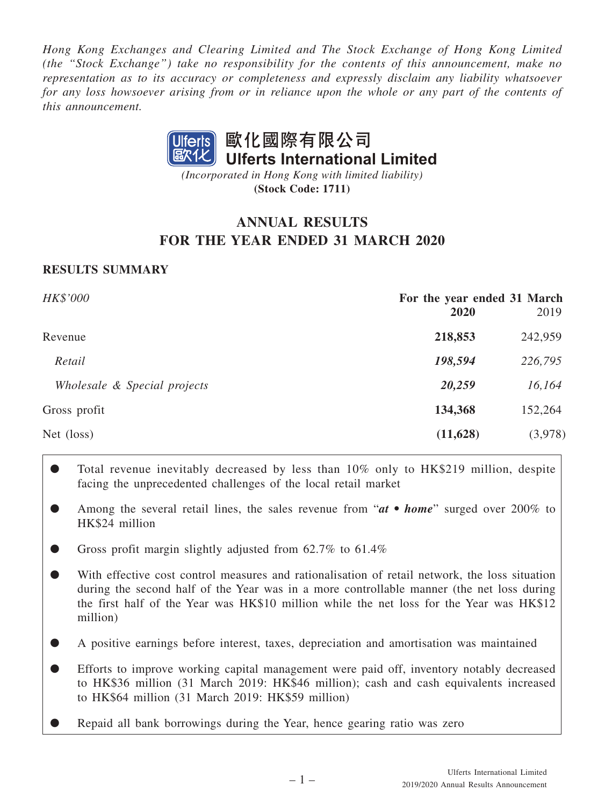*Hong Kong Exchanges and Clearing Limited and The Stock Exchange of Hong Kong Limited (the "Stock Exchange") take no responsibility for the contents of this announcement, make no representation as to its accuracy or completeness and expressly disclaim any liability whatsoever for any loss howsoever arising from or in reliance upon the whole or any part of the contents of this announcement.*



**(Stock Code: 1711)** *(Incorporated in Hong Kong with limited liability)*

# **ANNUAL RESULTS FOR THE YEAR ENDED 31 MARCH 2020**

# **RESULTS SUMMARY**

| <b>HK\$'000</b>              | For the year ended 31 March<br>2020 | 2019    |
|------------------------------|-------------------------------------|---------|
| Revenue                      | 218,853                             | 242,959 |
| Retail                       | 198,594                             | 226,795 |
| Wholesale & Special projects | 20,259                              | 16,164  |
| Gross profit                 | 134,368                             | 152,264 |
| Net (loss)                   | (11,628)                            | (3,978) |
|                              |                                     |         |

- Total revenue inevitably decreased by less than 10% only to HK\$219 million, despite facing the unprecedented challenges of the local retail market
- Among the several retail lines, the sales revenue from "*at home*" surged over 200% to HK\$24 million
- Gross profit margin slightly adjusted from 62.7% to 61.4%

With effective cost control measures and rationalisation of retail network, the loss situation during the second half of the Year was in a more controllable manner (the net loss during the first half of the Year was HK\$10 million while the net loss for the Year was HK\$12 million)

- A positive earnings before interest, taxes, depreciation and amortisation was maintained
- Efforts to improve working capital management were paid off, inventory notably decreased to HK\$36 million (31 March 2019: HK\$46 million); cash and cash equivalents increased to HK\$64 million (31 March 2019: HK\$59 million)
- Repaid all bank borrowings during the Year, hence gearing ratio was zero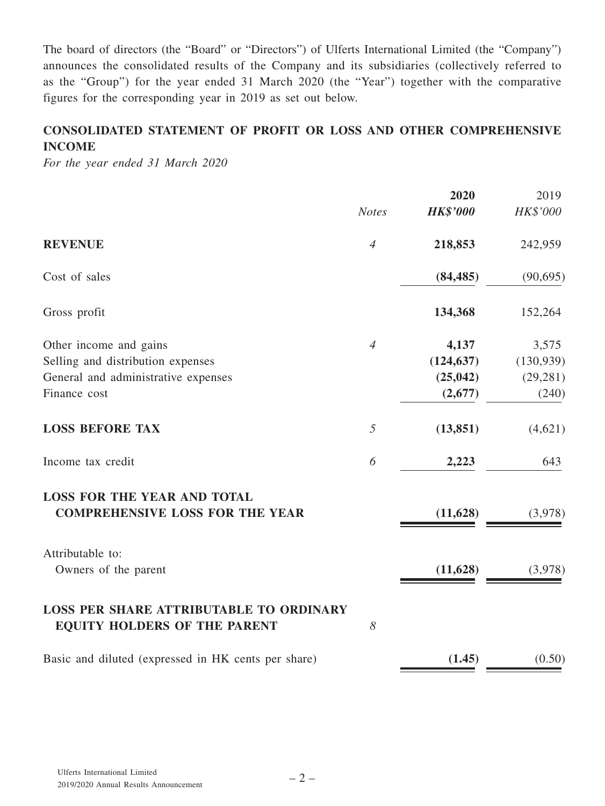The board of directors (the "Board" or "Directors") of Ulferts International Limited (the "Company") announces the consolidated results of the Company and its subsidiaries (collectively referred to as the "Group") for the year ended 31 March 2020 (the "Year") together with the comparative figures for the corresponding year in 2019 as set out below.

# **CONSOLIDATED STATEMENT OF PROFIT OR LOSS AND OTHER COMPREHENSIVE INCOME**

*For the year ended 31 March 2020*

|                                                                                       |                | 2020            | 2019       |
|---------------------------------------------------------------------------------------|----------------|-----------------|------------|
|                                                                                       | <b>Notes</b>   | <b>HK\$'000</b> | HK\$'000   |
| <b>REVENUE</b>                                                                        | $\overline{4}$ | 218,853         | 242,959    |
| Cost of sales                                                                         |                | (84, 485)       | (90, 695)  |
| Gross profit                                                                          |                | 134,368         | 152,264    |
| Other income and gains                                                                | $\overline{4}$ | 4,137           | 3,575      |
| Selling and distribution expenses                                                     |                | (124, 637)      | (130, 939) |
| General and administrative expenses                                                   |                | (25, 042)       | (29, 281)  |
| Finance cost                                                                          |                | (2,677)         | (240)      |
| <b>LOSS BEFORE TAX</b>                                                                | 5              | (13, 851)       | (4,621)    |
| Income tax credit                                                                     | 6              | 2,223           | 643        |
| <b>LOSS FOR THE YEAR AND TOTAL</b><br><b>COMPREHENSIVE LOSS FOR THE YEAR</b>          |                | (11, 628)       | (3,978)    |
| Attributable to:                                                                      |                |                 |            |
| Owners of the parent                                                                  |                | (11, 628)       | (3,978)    |
| <b>LOSS PER SHARE ATTRIBUTABLE TO ORDINARY</b><br><b>EQUITY HOLDERS OF THE PARENT</b> | 8              |                 |            |
| Basic and diluted (expressed in HK cents per share)                                   |                | (1.45)          | (0.50)     |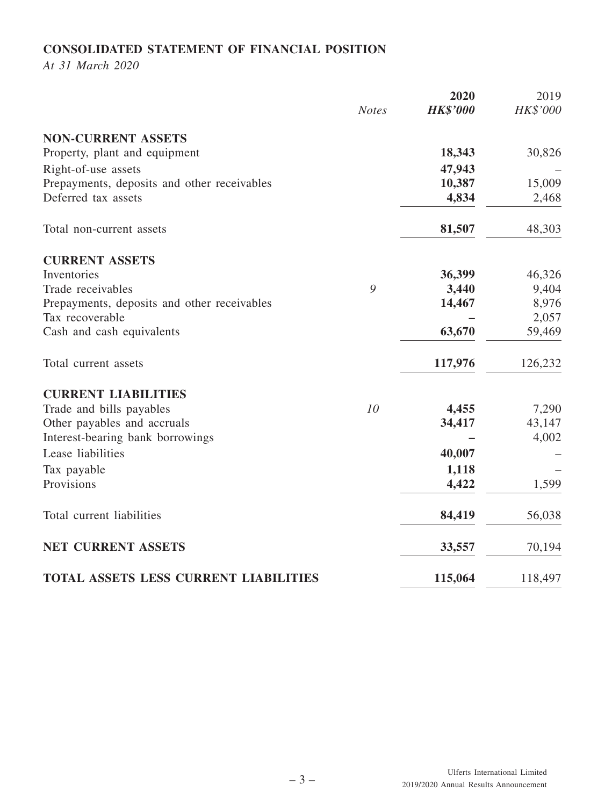# **CONSOLIDATED STATEMENT OF FINANCIAL POSITION**

*At 31 March 2020*

|                                              |              | 2020            | 2019     |
|----------------------------------------------|--------------|-----------------|----------|
|                                              | <b>Notes</b> | <b>HK\$'000</b> | HK\$'000 |
| <b>NON-CURRENT ASSETS</b>                    |              |                 |          |
| Property, plant and equipment                |              | 18,343          | 30,826   |
| Right-of-use assets                          |              | 47,943          |          |
| Prepayments, deposits and other receivables  |              | 10,387          | 15,009   |
| Deferred tax assets                          |              | 4,834           | 2,468    |
| Total non-current assets                     |              | 81,507          | 48,303   |
| <b>CURRENT ASSETS</b>                        |              |                 |          |
| Inventories                                  |              | 36,399          | 46,326   |
| Trade receivables                            | 9            | 3,440           | 9,404    |
| Prepayments, deposits and other receivables  |              | 14,467          | 8,976    |
| Tax recoverable                              |              |                 | 2,057    |
| Cash and cash equivalents                    |              | 63,670          | 59,469   |
| Total current assets                         |              | 117,976         | 126,232  |
| <b>CURRENT LIABILITIES</b>                   |              |                 |          |
| Trade and bills payables                     | 10           | 4,455           | 7,290    |
| Other payables and accruals                  |              | 34,417          | 43,147   |
| Interest-bearing bank borrowings             |              |                 | 4,002    |
| Lease liabilities                            |              | 40,007          |          |
| Tax payable                                  |              | 1,118           |          |
| Provisions                                   |              | 4,422           | 1,599    |
| Total current liabilities                    |              | 84,419          | 56,038   |
| NET CURRENT ASSETS                           |              | 33,557          | 70,194   |
| <b>TOTAL ASSETS LESS CURRENT LIABILITIES</b> |              | 115,064         | 118,497  |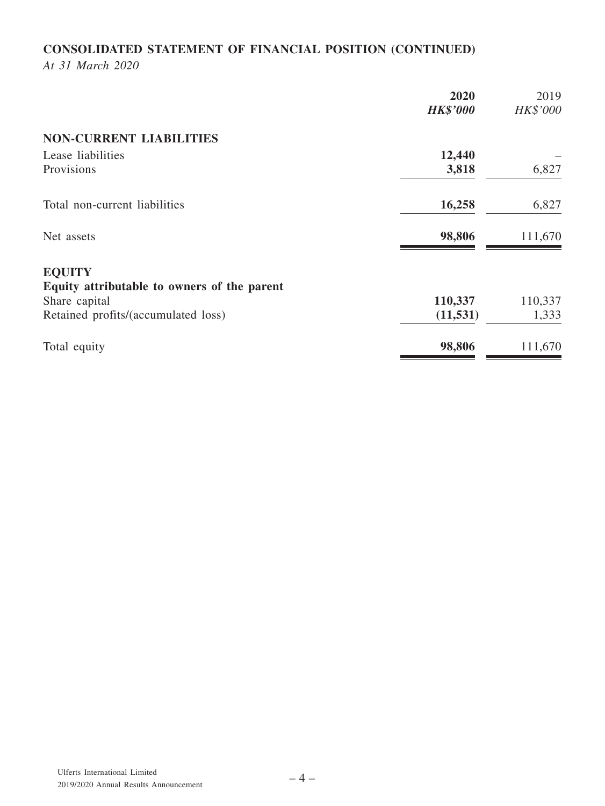# **CONSOLIDATED STATEMENT OF FINANCIAL POSITION (CONTINUED)**

*At 31 March 2020*

|                                             | 2020<br><b>HK\$'000</b> | 2019<br>HK\$'000 |
|---------------------------------------------|-------------------------|------------------|
| <b>NON-CURRENT LIABILITIES</b>              |                         |                  |
| Lease liabilities                           | 12,440                  |                  |
| Provisions                                  | 3,818                   | 6,827            |
| Total non-current liabilities               | 16,258                  | 6,827            |
| Net assets                                  | 98,806                  | 111,670          |
| <b>EQUITY</b>                               |                         |                  |
| Equity attributable to owners of the parent |                         |                  |
| Share capital                               | 110,337                 | 110,337          |
| Retained profits/(accumulated loss)         | (11, 531)               | 1,333            |
| Total equity                                | 98,806                  | 111,670          |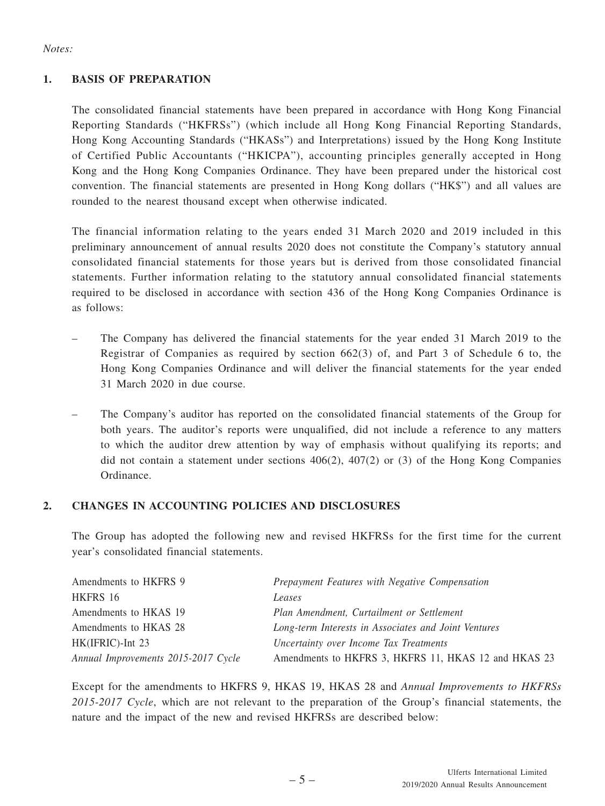### *Notes:*

## **1. BASIS OF PREPARATION**

The consolidated financial statements have been prepared in accordance with Hong Kong Financial Reporting Standards ("HKFRSs") (which include all Hong Kong Financial Reporting Standards, Hong Kong Accounting Standards ("HKASs") and Interpretations) issued by the Hong Kong Institute of Certified Public Accountants ("HKICPA"), accounting principles generally accepted in Hong Kong and the Hong Kong Companies Ordinance. They have been prepared under the historical cost convention. The financial statements are presented in Hong Kong dollars ("HK\$") and all values are rounded to the nearest thousand except when otherwise indicated.

The financial information relating to the years ended 31 March 2020 and 2019 included in this preliminary announcement of annual results 2020 does not constitute the Company's statutory annual consolidated financial statements for those years but is derived from those consolidated financial statements. Further information relating to the statutory annual consolidated financial statements required to be disclosed in accordance with section 436 of the Hong Kong Companies Ordinance is as follows:

- The Company has delivered the financial statements for the year ended 31 March 2019 to the Registrar of Companies as required by section 662(3) of, and Part 3 of Schedule 6 to, the Hong Kong Companies Ordinance and will deliver the financial statements for the year ended 31 March 2020 in due course.
- The Company's auditor has reported on the consolidated financial statements of the Group for both years. The auditor's reports were unqualified, did not include a reference to any matters to which the auditor drew attention by way of emphasis without qualifying its reports; and did not contain a statement under sections  $406(2)$ ,  $407(2)$  or (3) of the Hong Kong Companies Ordinance.

### **2. CHANGES IN ACCOUNTING POLICIES AND DISCLOSURES**

The Group has adopted the following new and revised HKFRSs for the first time for the current year's consolidated financial statements.

| Amendments to HKFRS 9               | Prepayment Features with Negative Compensation       |
|-------------------------------------|------------------------------------------------------|
| HKFRS 16                            | Leases                                               |
| Amendments to HKAS 19               | Plan Amendment, Curtailment or Settlement            |
| Amendments to HKAS 28               | Long-term Interests in Associates and Joint Ventures |
| HK(IFRIC)-Int 23                    | Uncertainty over Income Tax Treatments               |
| Annual Improvements 2015-2017 Cycle | Amendments to HKFRS 3, HKFRS 11, HKAS 12 and HKAS 23 |

Except for the amendments to HKFRS 9, HKAS 19, HKAS 28 and *Annual Improvements to HKFRSs 2015-2017 Cycle*, which are not relevant to the preparation of the Group's financial statements, the nature and the impact of the new and revised HKFRSs are described below: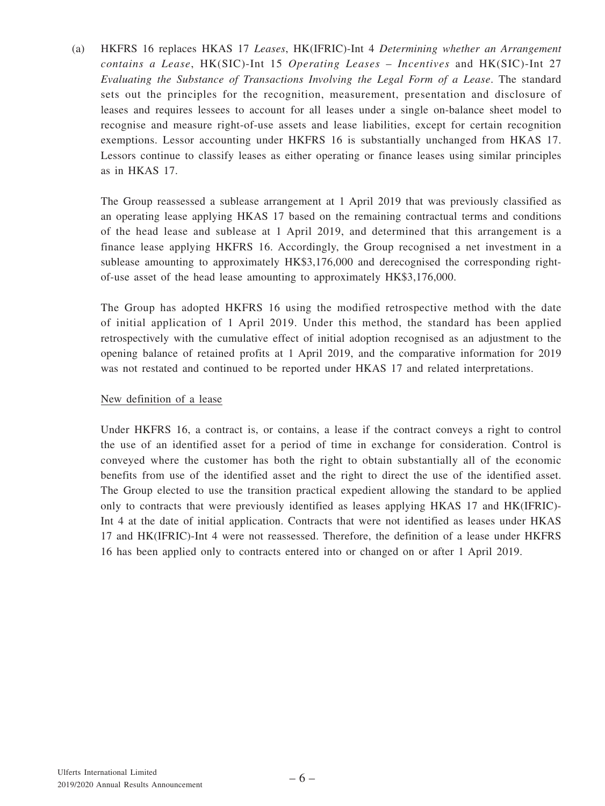(a) HKFRS 16 replaces HKAS 17 *Leases*, HK(IFRIC)-Int 4 *Determining whether an Arrangement contains a Lease*, HK(SIC)-Int 15 *Operating Leases* – *Incentives* and HK(SIC)-Int 27 *Evaluating the Substance of Transactions Involving the Legal Form of a Lease*. The standard sets out the principles for the recognition, measurement, presentation and disclosure of leases and requires lessees to account for all leases under a single on-balance sheet model to recognise and measure right-of-use assets and lease liabilities, except for certain recognition exemptions. Lessor accounting under HKFRS 16 is substantially unchanged from HKAS 17. Lessors continue to classify leases as either operating or finance leases using similar principles as in HKAS 17.

The Group reassessed a sublease arrangement at 1 April 2019 that was previously classified as an operating lease applying HKAS 17 based on the remaining contractual terms and conditions of the head lease and sublease at 1 April 2019, and determined that this arrangement is a finance lease applying HKFRS 16. Accordingly, the Group recognised a net investment in a sublease amounting to approximately HK\$3,176,000 and derecognised the corresponding rightof-use asset of the head lease amounting to approximately HK\$3,176,000.

The Group has adopted HKFRS 16 using the modified retrospective method with the date of initial application of 1 April 2019. Under this method, the standard has been applied retrospectively with the cumulative effect of initial adoption recognised as an adjustment to the opening balance of retained profits at 1 April 2019, and the comparative information for 2019 was not restated and continued to be reported under HKAS 17 and related interpretations.

### New definition of a lease

Under HKFRS 16, a contract is, or contains, a lease if the contract conveys a right to control the use of an identified asset for a period of time in exchange for consideration. Control is conveyed where the customer has both the right to obtain substantially all of the economic benefits from use of the identified asset and the right to direct the use of the identified asset. The Group elected to use the transition practical expedient allowing the standard to be applied only to contracts that were previously identified as leases applying HKAS 17 and HK(IFRIC)- Int 4 at the date of initial application. Contracts that were not identified as leases under HKAS 17 and HK(IFRIC)-Int 4 were not reassessed. Therefore, the definition of a lease under HKFRS 16 has been applied only to contracts entered into or changed on or after 1 April 2019.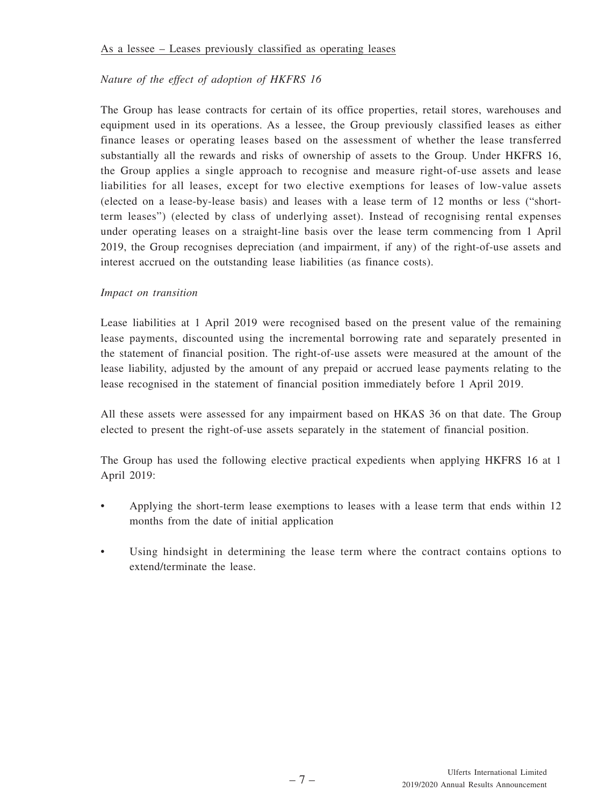## *Nature of the effect of adoption of HKFRS 16*

The Group has lease contracts for certain of its office properties, retail stores, warehouses and equipment used in its operations. As a lessee, the Group previously classified leases as either finance leases or operating leases based on the assessment of whether the lease transferred substantially all the rewards and risks of ownership of assets to the Group. Under HKFRS 16, the Group applies a single approach to recognise and measure right-of-use assets and lease liabilities for all leases, except for two elective exemptions for leases of low-value assets (elected on a lease-by-lease basis) and leases with a lease term of 12 months or less ("shortterm leases") (elected by class of underlying asset). Instead of recognising rental expenses under operating leases on a straight-line basis over the lease term commencing from 1 April 2019, the Group recognises depreciation (and impairment, if any) of the right-of-use assets and interest accrued on the outstanding lease liabilities (as finance costs).

## *Impact on transition*

Lease liabilities at 1 April 2019 were recognised based on the present value of the remaining lease payments, discounted using the incremental borrowing rate and separately presented in the statement of financial position. The right-of-use assets were measured at the amount of the lease liability, adjusted by the amount of any prepaid or accrued lease payments relating to the lease recognised in the statement of financial position immediately before 1 April 2019.

All these assets were assessed for any impairment based on HKAS 36 on that date. The Group elected to present the right-of-use assets separately in the statement of financial position.

The Group has used the following elective practical expedients when applying HKFRS 16 at 1 April 2019:

- Applying the short-term lease exemptions to leases with a lease term that ends within 12 months from the date of initial application
- Using hindsight in determining the lease term where the contract contains options to extend/terminate the lease.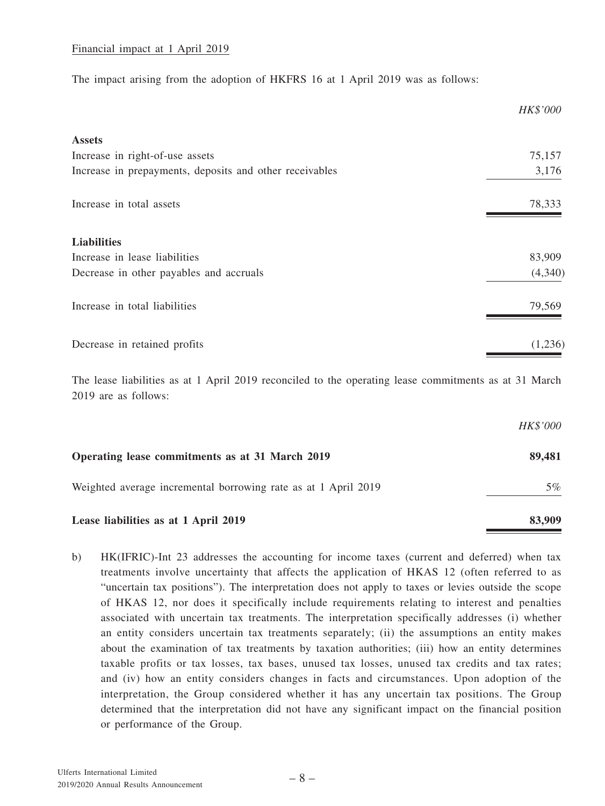### Financial impact at 1 April 2019

The impact arising from the adoption of HKFRS 16 at 1 April 2019 was as follows:

|                                                         | HK\$'000 |
|---------------------------------------------------------|----------|
| <b>Assets</b>                                           |          |
| Increase in right-of-use assets                         | 75,157   |
| Increase in prepayments, deposits and other receivables | 3,176    |
| Increase in total assets                                | 78,333   |
| <b>Liabilities</b>                                      |          |
| Increase in lease liabilities                           | 83,909   |
| Decrease in other payables and accruals                 | (4,340)  |
| Increase in total liabilities                           | 79,569   |
| Decrease in retained profits                            | (1,236)  |

The lease liabilities as at 1 April 2019 reconciled to the operating lease commitments as at 31 March 2019 are as follows:

|                                                                | HK\$'000 |
|----------------------------------------------------------------|----------|
| Operating lease commitments as at 31 March 2019                | 89,481   |
| Weighted average incremental borrowing rate as at 1 April 2019 | $5\%$    |
| Lease liabilities as at 1 April 2019                           | 83,909   |

b) HK(IFRIC)-Int 23 addresses the accounting for income taxes (current and deferred) when tax treatments involve uncertainty that affects the application of HKAS 12 (often referred to as "uncertain tax positions"). The interpretation does not apply to taxes or levies outside the scope of HKAS 12, nor does it specifically include requirements relating to interest and penalties associated with uncertain tax treatments. The interpretation specifically addresses (i) whether an entity considers uncertain tax treatments separately; (ii) the assumptions an entity makes about the examination of tax treatments by taxation authorities; (iii) how an entity determines taxable profits or tax losses, tax bases, unused tax losses, unused tax credits and tax rates; and (iv) how an entity considers changes in facts and circumstances. Upon adoption of the interpretation, the Group considered whether it has any uncertain tax positions. The Group determined that the interpretation did not have any significant impact on the financial position or performance of the Group.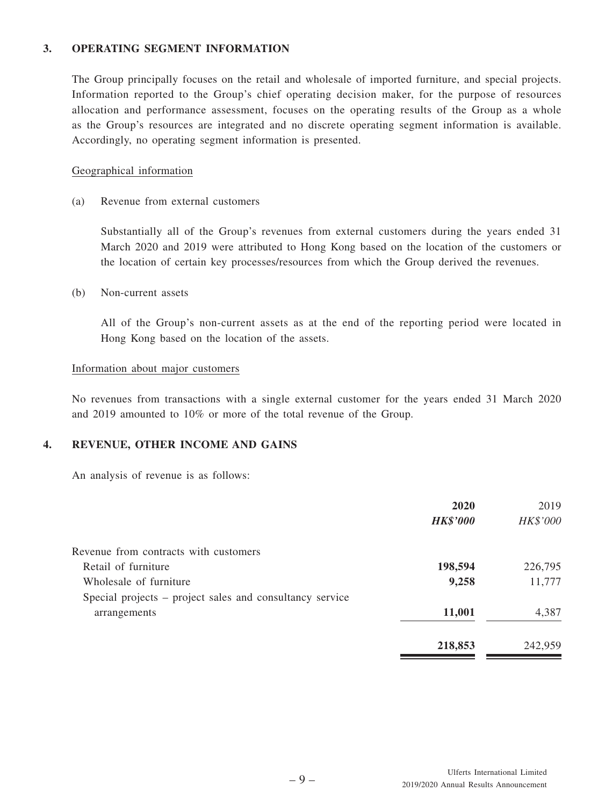### **3. OPERATING SEGMENT INFORMATION**

The Group principally focuses on the retail and wholesale of imported furniture, and special projects. Information reported to the Group's chief operating decision maker, for the purpose of resources allocation and performance assessment, focuses on the operating results of the Group as a whole as the Group's resources are integrated and no discrete operating segment information is available. Accordingly, no operating segment information is presented.

### Geographical information

(a) Revenue from external customers

Substantially all of the Group's revenues from external customers during the years ended 31 March 2020 and 2019 were attributed to Hong Kong based on the location of the customers or the location of certain key processes/resources from which the Group derived the revenues.

(b) Non-current assets

All of the Group's non-current assets as at the end of the reporting period were located in Hong Kong based on the location of the assets.

#### Information about major customers

No revenues from transactions with a single external customer for the years ended 31 March 2020 and 2019 amounted to 10% or more of the total revenue of the Group.

### **4. REVENUE, OTHER INCOME AND GAINS**

An analysis of revenue is as follows:

|                                                          | 2020            | 2019     |
|----------------------------------------------------------|-----------------|----------|
|                                                          | <b>HK\$'000</b> | HK\$'000 |
| Revenue from contracts with customers                    |                 |          |
| Retail of furniture                                      | 198,594         | 226,795  |
| Wholesale of furniture                                   | 9,258           | 11,777   |
| Special projects – project sales and consultancy service |                 |          |
| arrangements                                             | 11,001          | 4,387    |
|                                                          | 218,853         | 242,959  |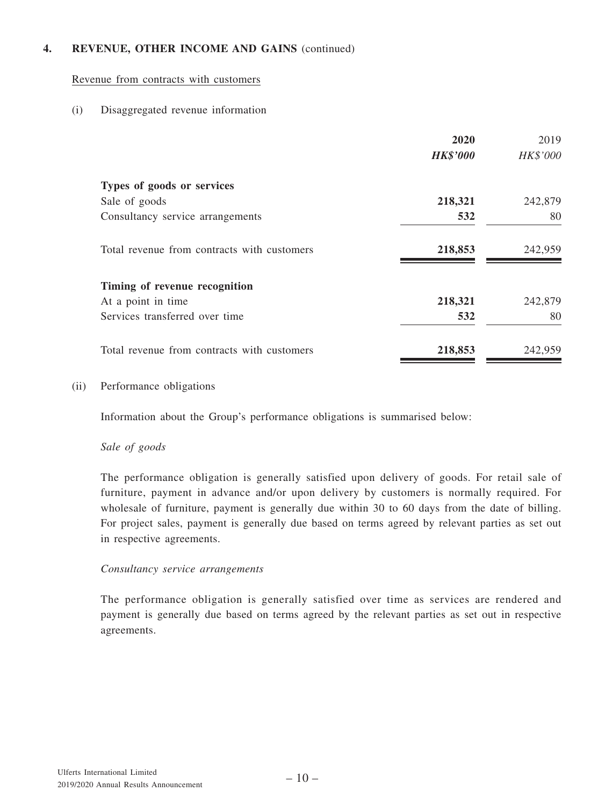## **4. REVENUE, OTHER INCOME AND GAINS** (continued)

### Revenue from contracts with customers

### (i) Disaggregated revenue information

|                                             | 2020            | 2019     |
|---------------------------------------------|-----------------|----------|
|                                             | <b>HK\$'000</b> | HK\$'000 |
| Types of goods or services                  |                 |          |
| Sale of goods                               | 218,321         | 242,879  |
| Consultancy service arrangements            | 532             | 80       |
| Total revenue from contracts with customers | 218,853         | 242,959  |
| Timing of revenue recognition               |                 |          |
| At a point in time                          | 218,321         | 242,879  |
| Services transferred over time              | 532             | 80       |
| Total revenue from contracts with customers | 218,853         | 242,959  |

#### (ii) Performance obligations

Information about the Group's performance obligations is summarised below:

### *Sale of goods*

The performance obligation is generally satisfied upon delivery of goods. For retail sale of furniture, payment in advance and/or upon delivery by customers is normally required. For wholesale of furniture, payment is generally due within 30 to 60 days from the date of billing. For project sales, payment is generally due based on terms agreed by relevant parties as set out in respective agreements.

### *Consultancy service arrangements*

The performance obligation is generally satisfied over time as services are rendered and payment is generally due based on terms agreed by the relevant parties as set out in respective agreements.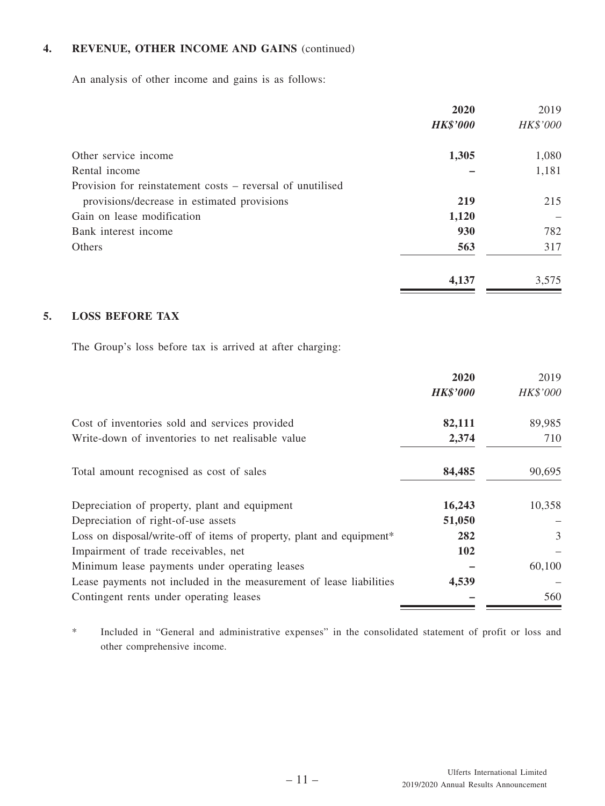## **4. REVENUE, OTHER INCOME AND GAINS** (continued)

An analysis of other income and gains is as follows:

|                                                            | 2020            | 2019     |
|------------------------------------------------------------|-----------------|----------|
|                                                            | <b>HK\$'000</b> | HK\$'000 |
| Other service income                                       | 1,305           | 1,080    |
| Rental income                                              |                 | 1,181    |
| Provision for reinstatement costs – reversal of unutilised |                 |          |
| provisions/decrease in estimated provisions                | 219             | 215      |
| Gain on lease modification                                 | 1,120           |          |
| Bank interest income                                       | 930             | 782      |
| <b>Others</b>                                              | 563             | 317      |
|                                                            | 4,137           | 3,575    |

## **5. LOSS BEFORE TAX**

The Group's loss before tax is arrived at after charging:

|                                                                       | 2020            | 2019     |
|-----------------------------------------------------------------------|-----------------|----------|
|                                                                       | <b>HK\$'000</b> | HK\$'000 |
| Cost of inventories sold and services provided                        | 82,111          | 89,985   |
| Write-down of inventories to net realisable value                     | 2,374           | 710      |
| Total amount recognised as cost of sales                              | 84,485          | 90,695   |
| Depreciation of property, plant and equipment                         | 16,243          | 10,358   |
| Depreciation of right-of-use assets                                   | 51,050          |          |
| Loss on disposal/write-off of items of property, plant and equipment* | 282             | 3        |
| Impairment of trade receivables, net                                  | 102             |          |
| Minimum lease payments under operating leases                         |                 | 60,100   |
| Lease payments not included in the measurement of lease liabilities   | 4,539           |          |
| Contingent rents under operating leases                               |                 | 560      |

\* Included in "General and administrative expenses" in the consolidated statement of profit or loss and other comprehensive income.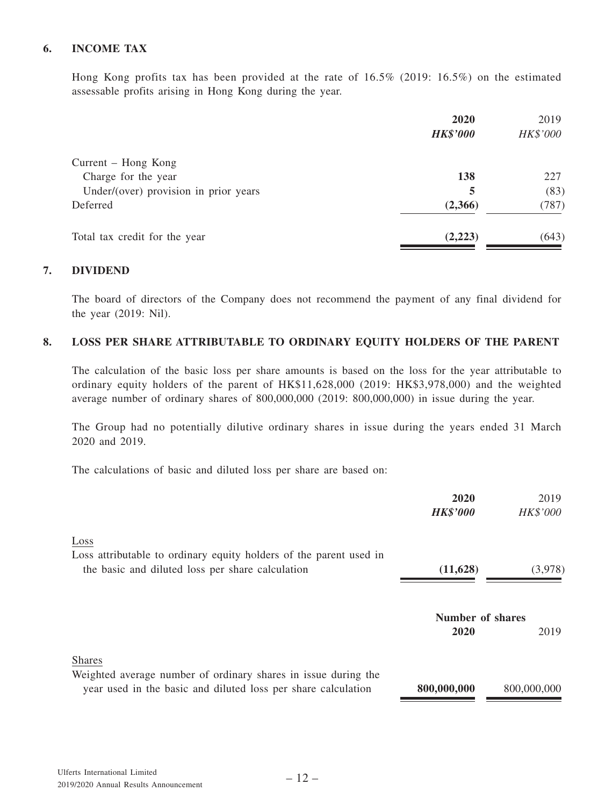## **6. INCOME TAX**

Hong Kong profits tax has been provided at the rate of 16.5% (2019: 16.5%) on the estimated assessable profits arising in Hong Kong during the year.

|                                       | 2020<br><b>HK\$'000</b> | 2019<br>HK\$'000 |
|---------------------------------------|-------------------------|------------------|
| Current – Hong Kong                   |                         |                  |
| Charge for the year                   | 138                     | 227              |
| Under/(over) provision in prior years | 5                       | (83)             |
| Deferred                              | (2,366)                 | (787)            |
| Total tax credit for the year         | (2,223)                 | (643)            |

### **7. DIVIDEND**

The board of directors of the Company does not recommend the payment of any final dividend for the year (2019: Nil).

#### **8. LOSS PER SHARE ATTRIBUTABLE TO ORDINARY EQUITY HOLDERS OF THE PARENT**

The calculation of the basic loss per share amounts is based on the loss for the year attributable to ordinary equity holders of the parent of HK\$11,628,000 (2019: HK\$3,978,000) and the weighted average number of ordinary shares of 800,000,000 (2019: 800,000,000) in issue during the year.

The Group had no potentially dilutive ordinary shares in issue during the years ended 31 March 2020 and 2019.

The calculations of basic and diluted loss per share are based on:

|                                                                                                                                                  | 2020<br><b>HK\$'000</b>  | 2019<br>HK\$'000 |
|--------------------------------------------------------------------------------------------------------------------------------------------------|--------------------------|------------------|
| Loss<br>Loss attributable to ordinary equity holders of the parent used in<br>the basic and diluted loss per share calculation                   | (11,628)                 | (3,978)          |
|                                                                                                                                                  | Number of shares<br>2020 | 2019             |
| <b>Shares</b><br>Weighted average number of ordinary shares in issue during the<br>year used in the basic and diluted loss per share calculation | 800,000,000              | 800,000,000      |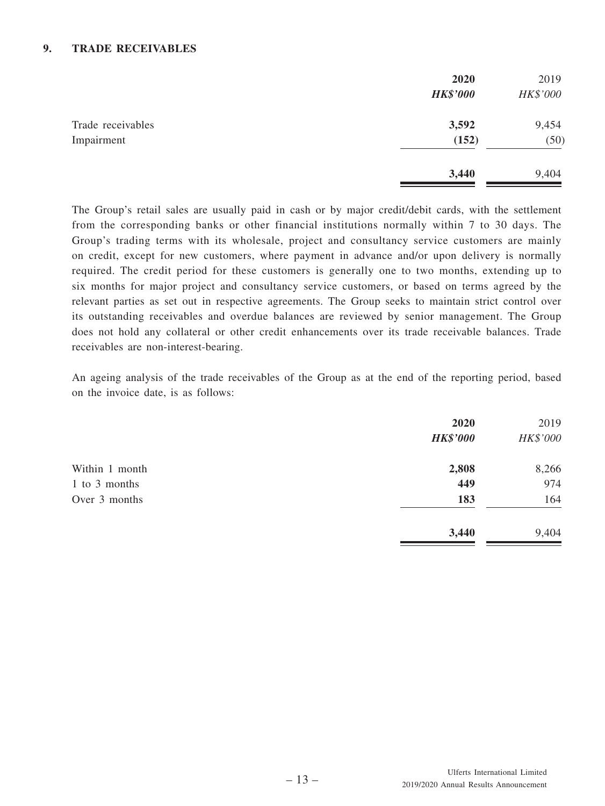## **9. TRADE RECEIVABLES**

|                                 | 2020<br><b>HK\$'000</b> | 2019<br>HK\$'000 |
|---------------------------------|-------------------------|------------------|
| Trade receivables<br>Impairment | 3,592<br>(152)          | 9,454<br>(50)    |
|                                 | 3,440                   | 9,404            |

The Group's retail sales are usually paid in cash or by major credit/debit cards, with the settlement from the corresponding banks or other financial institutions normally within 7 to 30 days. The Group's trading terms with its wholesale, project and consultancy service customers are mainly on credit, except for new customers, where payment in advance and/or upon delivery is normally required. The credit period for these customers is generally one to two months, extending up to six months for major project and consultancy service customers, or based on terms agreed by the relevant parties as set out in respective agreements. The Group seeks to maintain strict control over its outstanding receivables and overdue balances are reviewed by senior management. The Group does not hold any collateral or other credit enhancements over its trade receivable balances. Trade receivables are non-interest-bearing.

An ageing analysis of the trade receivables of the Group as at the end of the reporting period, based on the invoice date, is as follows:

| 2020<br><b>HK\$'000</b> | 2019<br>HK\$'000 |
|-------------------------|------------------|
| 2,808                   | 8,266            |
| 449                     | 974              |
| 183                     | 164              |
| 3,440                   | 9,404            |
|                         |                  |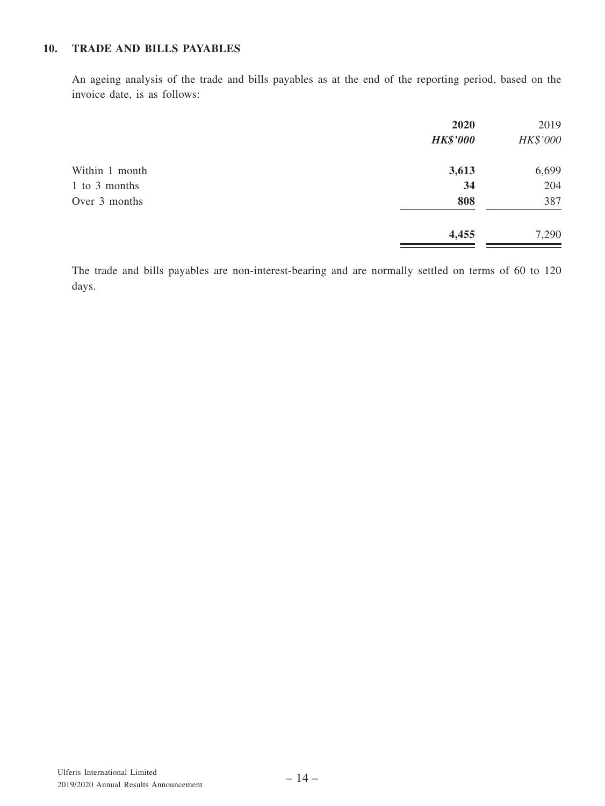## **10. TRADE AND BILLS PAYABLES**

An ageing analysis of the trade and bills payables as at the end of the reporting period, based on the invoice date, is as follows:

|                | 2020            | 2019     |
|----------------|-----------------|----------|
|                | <b>HK\$'000</b> | HK\$'000 |
| Within 1 month | 3,613           | 6,699    |
| 1 to 3 months  | 34              | 204      |
| Over 3 months  | 808             | 387      |
|                | 4,455           | 7,290    |

The trade and bills payables are non-interest-bearing and are normally settled on terms of 60 to 120 days.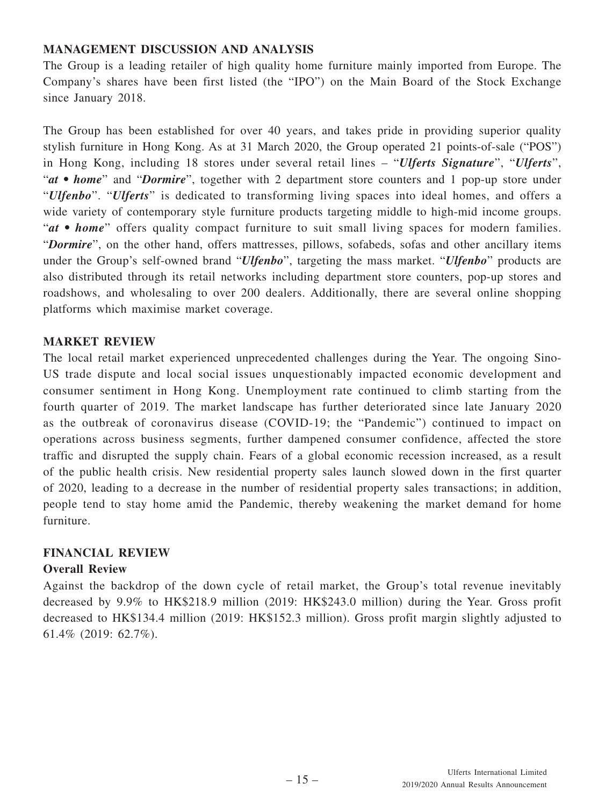# **MANAGEMENT DISCUSSION AND ANALYSIS**

The Group is a leading retailer of high quality home furniture mainly imported from Europe. The Company's shares have been first listed (the "IPO") on the Main Board of the Stock Exchange since January 2018.

The Group has been established for over 40 years, and takes pride in providing superior quality stylish furniture in Hong Kong. As at 31 March 2020, the Group operated 21 points-of-sale ("POS") in Hong Kong, including 18 stores under several retail lines – "*Ulferts Signature*", "*Ulferts*", "*at • home*" and "*Dormire*", together with 2 department store counters and 1 pop-up store under "*Ulfenbo*". "*Ulferts*" is dedicated to transforming living spaces into ideal homes, and offers a wide variety of contemporary style furniture products targeting middle to high-mid income groups. "*at • home*" offers quality compact furniture to suit small living spaces for modern families. "*Dormire*", on the other hand, offers mattresses, pillows, sofabeds, sofas and other ancillary items under the Group's self-owned brand "*Ulfenbo*", targeting the mass market. "*Ulfenbo*" products are also distributed through its retail networks including department store counters, pop-up stores and roadshows, and wholesaling to over 200 dealers. Additionally, there are several online shopping platforms which maximise market coverage.

# **MARKET REVIEW**

The local retail market experienced unprecedented challenges during the Year. The ongoing Sino-US trade dispute and local social issues unquestionably impacted economic development and consumer sentiment in Hong Kong. Unemployment rate continued to climb starting from the fourth quarter of 2019. The market landscape has further deteriorated since late January 2020 as the outbreak of coronavirus disease (COVID-19; the "Pandemic") continued to impact on operations across business segments, further dampened consumer confidence, affected the store traffic and disrupted the supply chain. Fears of a global economic recession increased, as a result of the public health crisis. New residential property sales launch slowed down in the first quarter of 2020, leading to a decrease in the number of residential property sales transactions; in addition, people tend to stay home amid the Pandemic, thereby weakening the market demand for home furniture.

# **FINANCIAL REVIEW**

# **Overall Review**

Against the backdrop of the down cycle of retail market, the Group's total revenue inevitably decreased by 9.9% to HK\$218.9 million (2019: HK\$243.0 million) during the Year. Gross profit decreased to HK\$134.4 million (2019: HK\$152.3 million). Gross profit margin slightly adjusted to 61.4% (2019: 62.7%).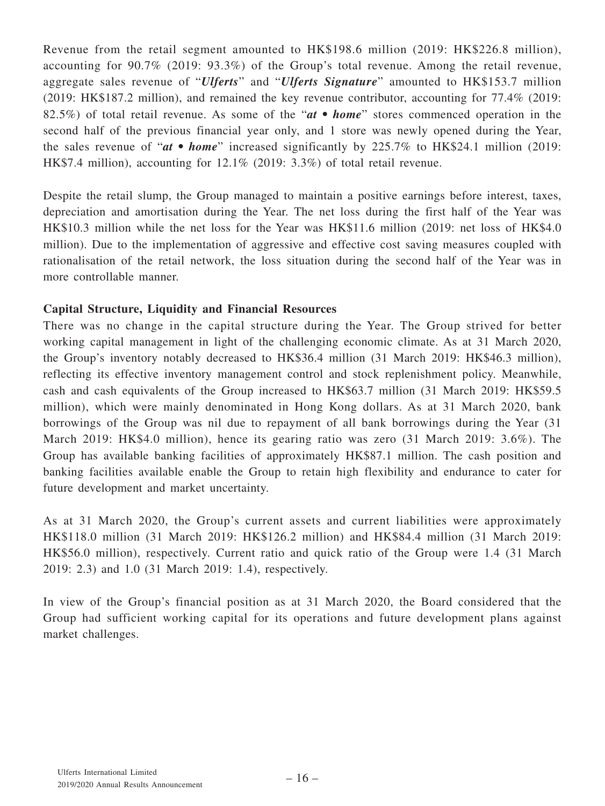Revenue from the retail segment amounted to HK\$198.6 million (2019: HK\$226.8 million), accounting for 90.7% (2019: 93.3%) of the Group's total revenue. Among the retail revenue, aggregate sales revenue of "*Ulferts*" and "*Ulferts Signature*" amounted to HK\$153.7 million (2019: HK\$187.2 million), and remained the key revenue contributor, accounting for 77.4% (2019: 82.5%) of total retail revenue. As some of the "*at • home*" stores commenced operation in the second half of the previous financial year only, and 1 store was newly opened during the Year, the sales revenue of "*at • home*" increased significantly by 225.7% to HK\$24.1 million (2019: HK\$7.4 million), accounting for 12.1% (2019: 3.3%) of total retail revenue.

Despite the retail slump, the Group managed to maintain a positive earnings before interest, taxes, depreciation and amortisation during the Year. The net loss during the first half of the Year was HK\$10.3 million while the net loss for the Year was HK\$11.6 million (2019: net loss of HK\$4.0 million). Due to the implementation of aggressive and effective cost saving measures coupled with rationalisation of the retail network, the loss situation during the second half of the Year was in more controllable manner.

# **Capital Structure, Liquidity and Financial Resources**

There was no change in the capital structure during the Year. The Group strived for better working capital management in light of the challenging economic climate. As at 31 March 2020, the Group's inventory notably decreased to HK\$36.4 million (31 March 2019: HK\$46.3 million), reflecting its effective inventory management control and stock replenishment policy. Meanwhile, cash and cash equivalents of the Group increased to HK\$63.7 million (31 March 2019: HK\$59.5 million), which were mainly denominated in Hong Kong dollars. As at 31 March 2020, bank borrowings of the Group was nil due to repayment of all bank borrowings during the Year (31 March 2019: HK\$4.0 million), hence its gearing ratio was zero (31 March 2019: 3.6%). The Group has available banking facilities of approximately HK\$87.1 million. The cash position and banking facilities available enable the Group to retain high flexibility and endurance to cater for future development and market uncertainty.

As at 31 March 2020, the Group's current assets and current liabilities were approximately HK\$118.0 million (31 March 2019: HK\$126.2 million) and HK\$84.4 million (31 March 2019: HK\$56.0 million), respectively. Current ratio and quick ratio of the Group were 1.4 (31 March 2019: 2.3) and 1.0 (31 March 2019: 1.4), respectively.

In view of the Group's financial position as at 31 March 2020, the Board considered that the Group had sufficient working capital for its operations and future development plans against market challenges.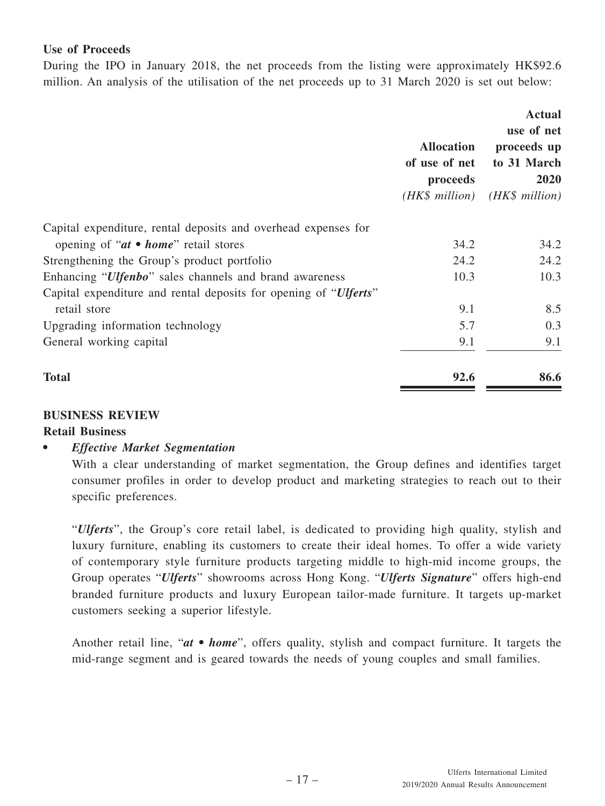# **Use of Proceeds**

During the IPO in January 2018, the net proceeds from the listing were approximately HK\$92.6 million. An analysis of the utilisation of the net proceeds up to 31 March 2020 is set out below:

|                                                                           | <b>Allocation</b><br>of use of net<br>proceeds<br>(HK\$ million) | <b>Actual</b><br>use of net<br>proceeds up<br>to 31 March<br>2020<br>$(HK\$ million) |
|---------------------------------------------------------------------------|------------------------------------------------------------------|--------------------------------------------------------------------------------------|
| Capital expenditure, rental deposits and overhead expenses for            |                                                                  |                                                                                      |
| opening of " $at \bullet home$ " retail stores                            | 34.2                                                             | 34.2                                                                                 |
| Strengthening the Group's product portfolio                               | 24.2                                                             | 24.2                                                                                 |
| Enhancing "Ulfenbo" sales channels and brand awareness                    | 10.3                                                             | 10.3                                                                                 |
| Capital expenditure and rental deposits for opening of " <i>Ulferts</i> " |                                                                  |                                                                                      |
| retail store                                                              | 9.1                                                              | 8.5                                                                                  |
| Upgrading information technology                                          | 5.7                                                              | 0.3                                                                                  |
| General working capital                                                   | 9.1                                                              | 9.1                                                                                  |
| <b>Total</b>                                                              | 92.6                                                             | 86.6                                                                                 |

## **BUSINESS REVIEW**

## **Retail Business**

## *• Effective Market Segmentation*

With a clear understanding of market segmentation, the Group defines and identifies target consumer profiles in order to develop product and marketing strategies to reach out to their specific preferences.

"*Ulferts*", the Group's core retail label, is dedicated to providing high quality, stylish and luxury furniture, enabling its customers to create their ideal homes. To offer a wide variety of contemporary style furniture products targeting middle to high-mid income groups, the Group operates "*Ulferts*" showrooms across Hong Kong. "*Ulferts Signature*" offers high-end branded furniture products and luxury European tailor-made furniture. It targets up-market customers seeking a superior lifestyle.

Another retail line, "*at* • *home*", offers quality, stylish and compact furniture. It targets the mid-range segment and is geared towards the needs of young couples and small families.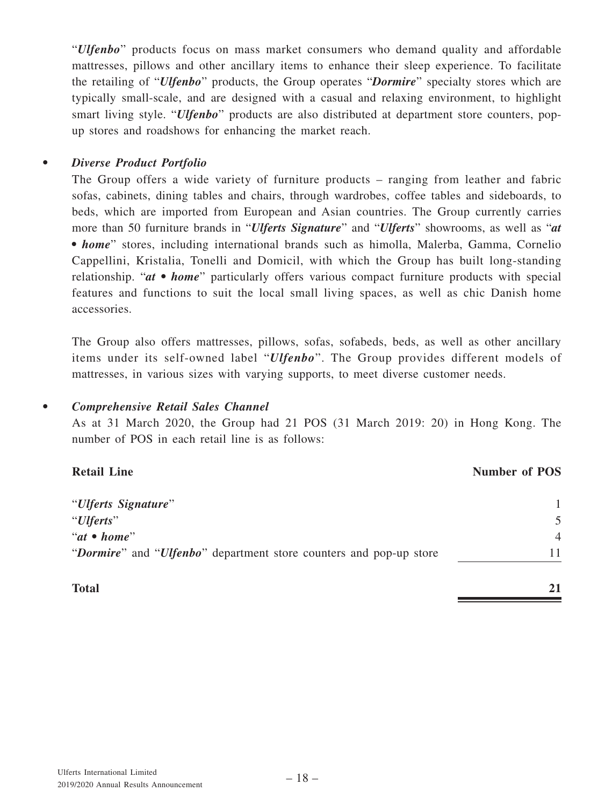"*Ulfenbo*" products focus on mass market consumers who demand quality and affordable mattresses, pillows and other ancillary items to enhance their sleep experience. To facilitate the retailing of "*Ulfenbo*" products, the Group operates "*Dormire*" specialty stores which are typically small-scale, and are designed with a casual and relaxing environment, to highlight smart living style. "*Ulfenbo*" products are also distributed at department store counters, popup stores and roadshows for enhancing the market reach.

# *• Diverse Product Portfolio*

The Group offers a wide variety of furniture products – ranging from leather and fabric sofas, cabinets, dining tables and chairs, through wardrobes, coffee tables and sideboards, to beds, which are imported from European and Asian countries. The Group currently carries more than 50 furniture brands in "*Ulferts Signature*" and "*Ulferts*" showrooms, as well as "*at • home*" stores, including international brands such as himolla, Malerba, Gamma, Cornelio Cappellini, Kristalia, Tonelli and Domicil, with which the Group has built long-standing relationship. "*at • home*" particularly offers various compact furniture products with special features and functions to suit the local small living spaces, as well as chic Danish home accessories.

The Group also offers mattresses, pillows, sofas, sofabeds, beds, as well as other ancillary items under its self-owned label "*Ulfenbo*". The Group provides different models of mattresses, in various sizes with varying supports, to meet diverse customer needs.

# *• Comprehensive Retail Sales Channel*

As at 31 March 2020, the Group had 21 POS (31 March 2019: 20) in Hong Kong. The number of POS in each retail line is as follows:

| <b>Retail Line</b>                                                 | <b>Number of POS</b>     |
|--------------------------------------------------------------------|--------------------------|
| "Ulferts Signature"                                                |                          |
| "Ulferts"                                                          | $\overline{\mathcal{L}}$ |
| " $at \bullet home"$                                               | $\overline{4}$           |
| "Dormire" and "Ulfenbo" department store counters and pop-up store |                          |
|                                                                    |                          |

**Total 21**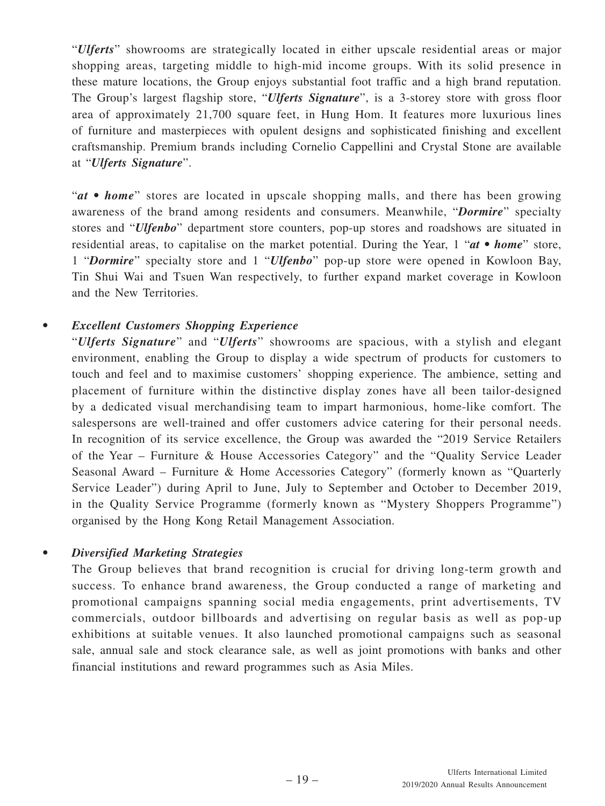"*Ulferts*" showrooms are strategically located in either upscale residential areas or major shopping areas, targeting middle to high-mid income groups. With its solid presence in these mature locations, the Group enjoys substantial foot traffic and a high brand reputation. The Group's largest flagship store, "*Ulferts Signature*", is a 3-storey store with gross floor area of approximately 21,700 square feet, in Hung Hom. It features more luxurious lines of furniture and masterpieces with opulent designs and sophisticated finishing and excellent craftsmanship. Premium brands including Cornelio Cappellini and Crystal Stone are available at "*Ulferts Signature*".

"*at • home*" stores are located in upscale shopping malls, and there has been growing awareness of the brand among residents and consumers. Meanwhile, "*Dormire*" specialty stores and "*Ulfenbo*" department store counters, pop-up stores and roadshows are situated in residential areas, to capitalise on the market potential. During the Year, 1 "*at • home*" store, 1 "*Dormire*" specialty store and 1 "*Ulfenbo*" pop-up store were opened in Kowloon Bay, Tin Shui Wai and Tsuen Wan respectively, to further expand market coverage in Kowloon and the New Territories.

# *• Excellent Customers Shopping Experience*

"*Ulferts Signature*" and "*Ulferts*" showrooms are spacious, with a stylish and elegant environment, enabling the Group to display a wide spectrum of products for customers to touch and feel and to maximise customers' shopping experience. The ambience, setting and placement of furniture within the distinctive display zones have all been tailor-designed by a dedicated visual merchandising team to impart harmonious, home-like comfort. The salespersons are well-trained and offer customers advice catering for their personal needs. In recognition of its service excellence, the Group was awarded the "2019 Service Retailers of the Year – Furniture & House Accessories Category" and the "Quality Service Leader Seasonal Award – Furniture & Home Accessories Category" (formerly known as "Quarterly Service Leader") during April to June, July to September and October to December 2019, in the Quality Service Programme (formerly known as "Mystery Shoppers Programme") organised by the Hong Kong Retail Management Association.

# *• Diversified Marketing Strategies*

The Group believes that brand recognition is crucial for driving long-term growth and success. To enhance brand awareness, the Group conducted a range of marketing and promotional campaigns spanning social media engagements, print advertisements, TV commercials, outdoor billboards and advertising on regular basis as well as pop-up exhibitions at suitable venues. It also launched promotional campaigns such as seasonal sale, annual sale and stock clearance sale, as well as joint promotions with banks and other financial institutions and reward programmes such as Asia Miles.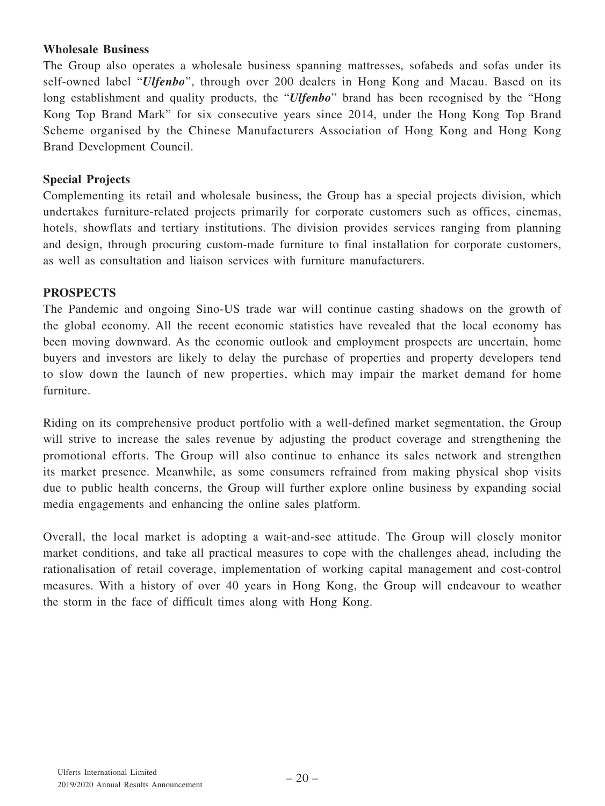# **Wholesale Business**

The Group also operates a wholesale business spanning mattresses, sofabeds and sofas under its self-owned label "*Ulfenbo*", through over 200 dealers in Hong Kong and Macau. Based on its long establishment and quality products, the "*Ulfenbo*" brand has been recognised by the "Hong Kong Top Brand Mark" for six consecutive years since 2014, under the Hong Kong Top Brand Scheme organised by the Chinese Manufacturers Association of Hong Kong and Hong Kong Brand Development Council.

# **Special Projects**

Complementing its retail and wholesale business, the Group has a special projects division, which undertakes furniture-related projects primarily for corporate customers such as offices, cinemas, hotels, showflats and tertiary institutions. The division provides services ranging from planning and design, through procuring custom-made furniture to final installation for corporate customers, as well as consultation and liaison services with furniture manufacturers.

## **PROSPECTS**

The Pandemic and ongoing Sino-US trade war will continue casting shadows on the growth of the global economy. All the recent economic statistics have revealed that the local economy has been moving downward. As the economic outlook and employment prospects are uncertain, home buyers and investors are likely to delay the purchase of properties and property developers tend to slow down the launch of new properties, which may impair the market demand for home furniture.

Riding on its comprehensive product portfolio with a well-defined market segmentation, the Group will strive to increase the sales revenue by adjusting the product coverage and strengthening the promotional efforts. The Group will also continue to enhance its sales network and strengthen its market presence. Meanwhile, as some consumers refrained from making physical shop visits due to public health concerns, the Group will further explore online business by expanding social media engagements and enhancing the online sales platform.

Overall, the local market is adopting a wait-and-see attitude. The Group will closely monitor market conditions, and take all practical measures to cope with the challenges ahead, including the rationalisation of retail coverage, implementation of working capital management and cost-control measures. With a history of over 40 years in Hong Kong, the Group will endeavour to weather the storm in the face of difficult times along with Hong Kong.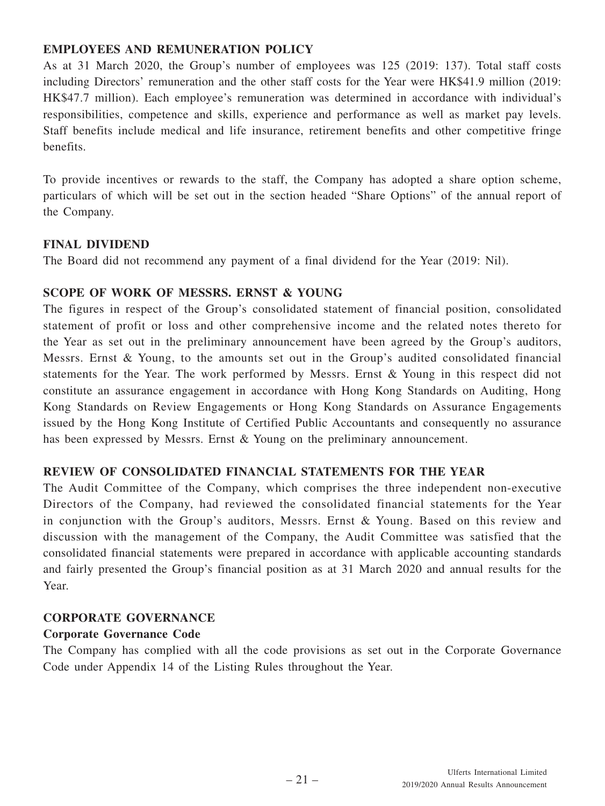# **EMPLOYEES AND REMUNERATION POLICY**

As at 31 March 2020, the Group's number of employees was 125 (2019: 137). Total staff costs including Directors' remuneration and the other staff costs for the Year were HK\$41.9 million (2019: HK\$47.7 million). Each employee's remuneration was determined in accordance with individual's responsibilities, competence and skills, experience and performance as well as market pay levels. Staff benefits include medical and life insurance, retirement benefits and other competitive fringe benefits.

To provide incentives or rewards to the staff, the Company has adopted a share option scheme, particulars of which will be set out in the section headed "Share Options" of the annual report of the Company.

## **FINAL DIVIDEND**

The Board did not recommend any payment of a final dividend for the Year (2019: Nil).

## **SCOPE OF WORK OF MESSRS. ERNST & YOUNG**

The figures in respect of the Group's consolidated statement of financial position, consolidated statement of profit or loss and other comprehensive income and the related notes thereto for the Year as set out in the preliminary announcement have been agreed by the Group's auditors, Messrs. Ernst & Young, to the amounts set out in the Group's audited consolidated financial statements for the Year. The work performed by Messrs. Ernst & Young in this respect did not constitute an assurance engagement in accordance with Hong Kong Standards on Auditing, Hong Kong Standards on Review Engagements or Hong Kong Standards on Assurance Engagements issued by the Hong Kong Institute of Certified Public Accountants and consequently no assurance has been expressed by Messrs. Ernst & Young on the preliminary announcement.

# **REVIEW OF CONSOLIDATED FINANCIAL STATEMENTS FOR THE YEAR**

The Audit Committee of the Company, which comprises the three independent non-executive Directors of the Company, had reviewed the consolidated financial statements for the Year in conjunction with the Group's auditors, Messrs. Ernst & Young. Based on this review and discussion with the management of the Company, the Audit Committee was satisfied that the consolidated financial statements were prepared in accordance with applicable accounting standards and fairly presented the Group's financial position as at 31 March 2020 and annual results for the Year.

# **CORPORATE GOVERNANCE**

# **Corporate Governance Code**

The Company has complied with all the code provisions as set out in the Corporate Governance Code under Appendix 14 of the Listing Rules throughout the Year.